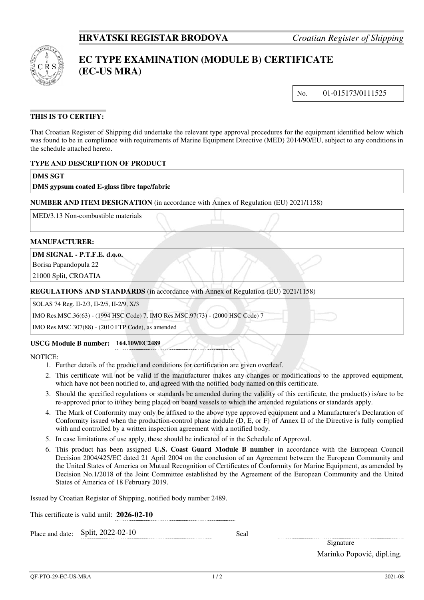

# **EC TYPE EXAMINATION (MODULE B) CERTIFICATE (EC-US MRA)**

No. 01-015173/0111525

# **THIS IS TO CERTIFY:**

That Croatian Register of Shipping did undertake the relevant type approval procedures for the equipment identified below which was found to be in compliance with requirements of Marine Equipment Directive (MED) 2014/90/EU, subject to any conditions in the schedule attached hereto.

# **TYPE AND DESCRIPTION OF PRODUCT**

# **DMS SGT**

# **DMS gypsum coated E-glass fibre tape/fabric**

**NUMBER AND ITEM DESIGNATION** (in accordance with Annex of Regulation (EU) 2021/1158)

MED/3.13 Non-combustible materials

#### **MANUFACTURER:**

**DM SIGNAL - P.T.F.E. d.o.o.** 

Borisa Papandopula 22

21000 Split, CROATIA

#### **REGULATIONS AND STANDARDS** (in accordance with Annex of Regulation (EU) 2021/1158)

SOLAS 74 Reg. II-2/3, II-2/5, II-2/9, X/3

IMO Res.MSC.36(63) - (1994 HSC Code) 7, IMO Res.MSC.97(73) - (2000 HSC Code) 7

IMO Res.MSC.307(88) - (2010 FTP Code), as amended

#### **USCG Module B number: 164.109/EC2489**

NOTICE:

- 1. Further details of the product and conditions for certification are given overleaf.
- 2. This certificate will not be valid if the manufacturer makes any changes or modifications to the approved equipment, which have not been notified to, and agreed with the notified body named on this certificate.
- 3. Should the specified regulations or standards be amended during the validity of this certificate, the product(s) is/are to be re-approved prior to it/they being placed on board vessels to which the amended regulations or standards apply.
- 4. The Mark of Conformity may only be affixed to the above type approved equipment and a Manufacturer's Declaration of Conformity issued when the production-control phase module (D, E, or F) of Annex II of the Directive is fully complied with and controlled by a written inspection agreement with a notified body.
- 5. In case limitations of use apply, these should be indicated of in the Schedule of Approval.
- 6. This product has been assigned **U.S. Coast Guard Module B number** in accordance with the European Council Decision 2004/425/EC dated 21 April 2004 on the conclusion of an Agreement between the European Community and the United States of America on Mutual Recognition of Certificates of Conformity for Marine Equipment, as amended by Decision No.1/2018 of the Joint Committee established by the Agreement of the European Community and the United States of America of 18 February 2019.

Issued by Croatian Register of Shipping, notified body number 2489.

This certificate is valid until: **2026-02-10**

Place and date: Split, 2022-02-10 Seal

Signature Marinko Popović, dipl.ing.